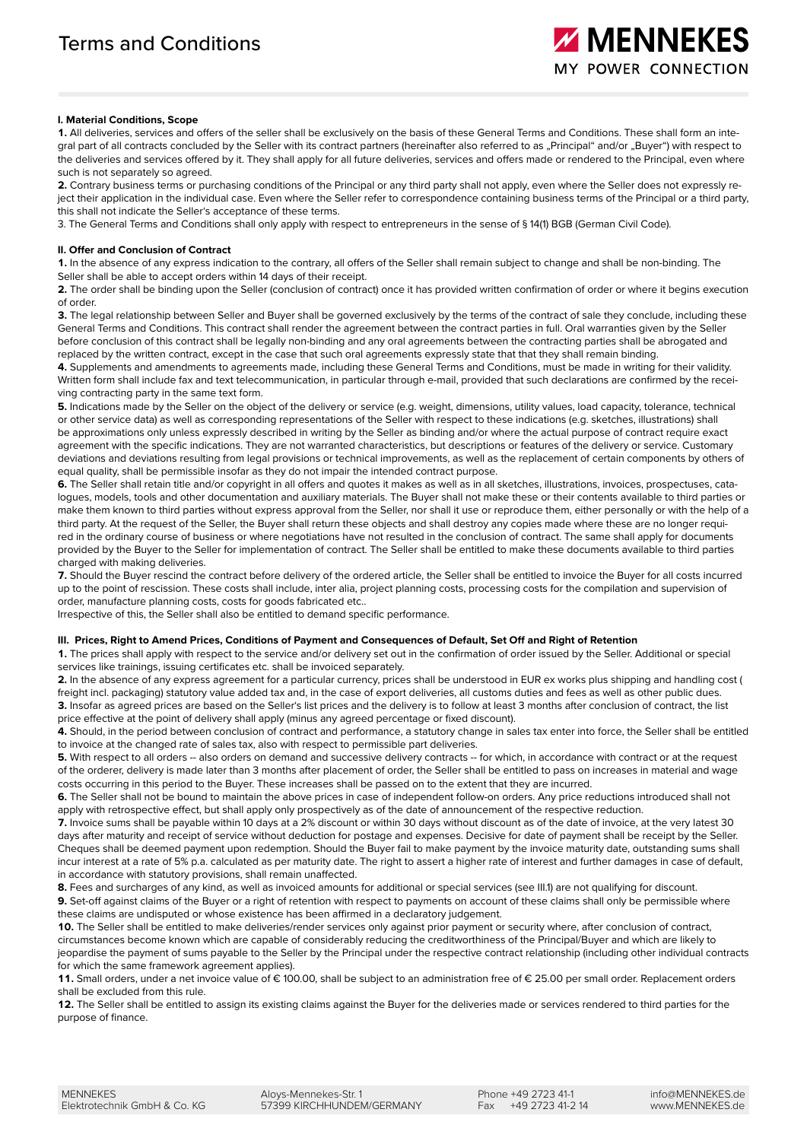#### **I. Material Conditions, Scope**

**1.** All deliveries, services and offers of the seller shall be exclusively on the basis of these General Terms and Conditions. These shall form an integral part of all contracts concluded by the Seller with its contract partners (hereinafter also referred to as "Principal" and/or "Buver") with respect to the deliveries and services offered by it. They shall apply for all future deliveries, services and offers made or rendered to the Principal, even where such is not separately so agreed.

**2.** Contrary business terms or purchasing conditions of the Principal or any third party shall not apply, even where the Seller does not expressly reject their application in the individual case. Even where the Seller refer to correspondence containing business terms of the Principal or a third party, this shall not indicate the Seller's acceptance of these terms.

3. The General Terms and Conditions shall only apply with respect to entrepreneurs in the sense of § 14(1) BGB (German Civil Code).

#### **II. Offer and Conclusion of Contract**

**1.** In the absence of any express indication to the contrary, all offers of the Seller shall remain subject to change and shall be non-binding. The Seller shall be able to accept orders within 14 days of their receipt.

**2.** The order shall be binding upon the Seller (conclusion of contract) once it has provided written confirmation of order or where it begins execution of order.

**3.** The legal relationship between Seller and Buyer shall be governed exclusively by the terms of the contract of sale they conclude, including these General Terms and Conditions. This contract shall render the agreement between the contract parties in full. Oral warranties given by the Seller before conclusion of this contract shall be legally non-binding and any oral agreements between the contracting parties shall be abrogated and replaced by the written contract, except in the case that such oral agreements expressly state that that they shall remain binding.

**4.** Supplements and amendments to agreements made, including these General Terms and Conditions, must be made in writing for their validity. Written form shall include fax and text telecommunication, in particular through e-mail, provided that such declarations are confirmed by the receiving contracting party in the same text form.

**5.** Indications made by the Seller on the object of the delivery or service (e.g. weight, dimensions, utility values, load capacity, tolerance, technical or other service data) as well as corresponding representations of the Seller with respect to these indications (e.g. sketches, illustrations) shall be approximations only unless expressly described in writing by the Seller as binding and/or where the actual purpose of contract require exact agreement with the specific indications. They are not warranted characteristics, but descriptions or features of the delivery or service. Customary deviations and deviations resulting from legal provisions or technical improvements, as well as the replacement of certain components by others of equal quality, shall be permissible insofar as they do not impair the intended contract purpose.

**6.** The Seller shall retain title and/or copyright in all offers and quotes it makes as well as in all sketches, illustrations, invoices, prospectuses, catalogues, models, tools and other documentation and auxiliary materials. The Buyer shall not make these or their contents available to third parties or make them known to third parties without express approval from the Seller, nor shall it use or reproduce them, either personally or with the help of a third party. At the request of the Seller, the Buyer shall return these objects and shall destroy any copies made where these are no longer required in the ordinary course of business or where negotiations have not resulted in the conclusion of contract. The same shall apply for documents provided by the Buyer to the Seller for implementation of contract. The Seller shall be entitled to make these documents available to third parties charged with making deliveries.

**7.** Should the Buyer rescind the contract before delivery of the ordered article, the Seller shall be entitled to invoice the Buyer for all costs incurred up to the point of rescission. These costs shall include, inter alia, project planning costs, processing costs for the compilation and supervision of order, manufacture planning costs, costs for goods fabricated etc..

Irrespective of this, the Seller shall also be entitled to demand specific performance.

#### **III. Prices, Right to Amend Prices, Conditions of Payment and Consequences of Default, Set Off and Right of Retention**

**1.** The prices shall apply with respect to the service and/or delivery set out in the confirmation of order issued by the Seller. Additional or special services like trainings, issuing certificates etc. shall be invoiced separately.

**2.** In the absence of any express agreement for a particular currency, prices shall be understood in EUR ex works plus shipping and handling cost ( freight incl. packaging) statutory value added tax and, in the case of export deliveries, all customs duties and fees as well as other public dues. **3.** Insofar as agreed prices are based on the Seller's list prices and the delivery is to follow at least 3 months after conclusion of contract, the list price effective at the point of delivery shall apply (minus any agreed percentage or fixed discount).

**4.** Should, in the period between conclusion of contract and performance, a statutory change in sales tax enter into force, the Seller shall be entitled to invoice at the changed rate of sales tax, also with respect to permissible part deliveries.

**5.** With respect to all orders -- also orders on demand and successive delivery contracts -- for which, in accordance with contract or at the request of the orderer, delivery is made later than 3 months after placement of order, the Seller shall be entitled to pass on increases in material and wage costs occurring in this period to the Buyer. These increases shall be passed on to the extent that they are incurred.

**6.** The Seller shall not be bound to maintain the above prices in case of independent follow-on orders. Any price reductions introduced shall not apply with retrospective effect, but shall apply only prospectively as of the date of announcement of the respective reduction.

**7.** Invoice sums shall be payable within 10 days at a 2% discount or within 30 days without discount as of the date of invoice, at the very latest 30 days after maturity and receipt of service without deduction for postage and expenses. Decisive for date of payment shall be receipt by the Seller. Cheques shall be deemed payment upon redemption. Should the Buyer fail to make payment by the invoice maturity date, outstanding sums shall incur interest at a rate of 5% p.a. calculated as per maturity date. The right to assert a higher rate of interest and further damages in case of default, in accordance with statutory provisions, shall remain unaffected.

8. Fees and surcharges of any kind, as well as invoiced amounts for additional or special services (see III.1) are not qualifying for discount. **9.** Set-off against claims of the Buyer or a right of retention with respect to payments on account of these claims shall only be permissible where these claims are undisputed or whose existence has been affirmed in a declaratory judgement.

**10.** The Seller shall be entitled to make deliveries/render services only against prior payment or security where, after conclusion of contract, circumstances become known which are capable of considerably reducing the creditworthiness of the Principal/Buyer and which are likely to jeopardise the payment of sums payable to the Seller by the Principal under the respective contract relationship (including other individual contracts for which the same framework agreement applies).

11. Small orders, under a net invoice value of € 100.00, shall be subject to an administration free of € 25.00 per small order. Replacement orders shall be excluded from this rule.

12. The Seller shall be entitled to assign its existing claims against the Buyer for the deliveries made or services rendered to third parties for the purpose of finance.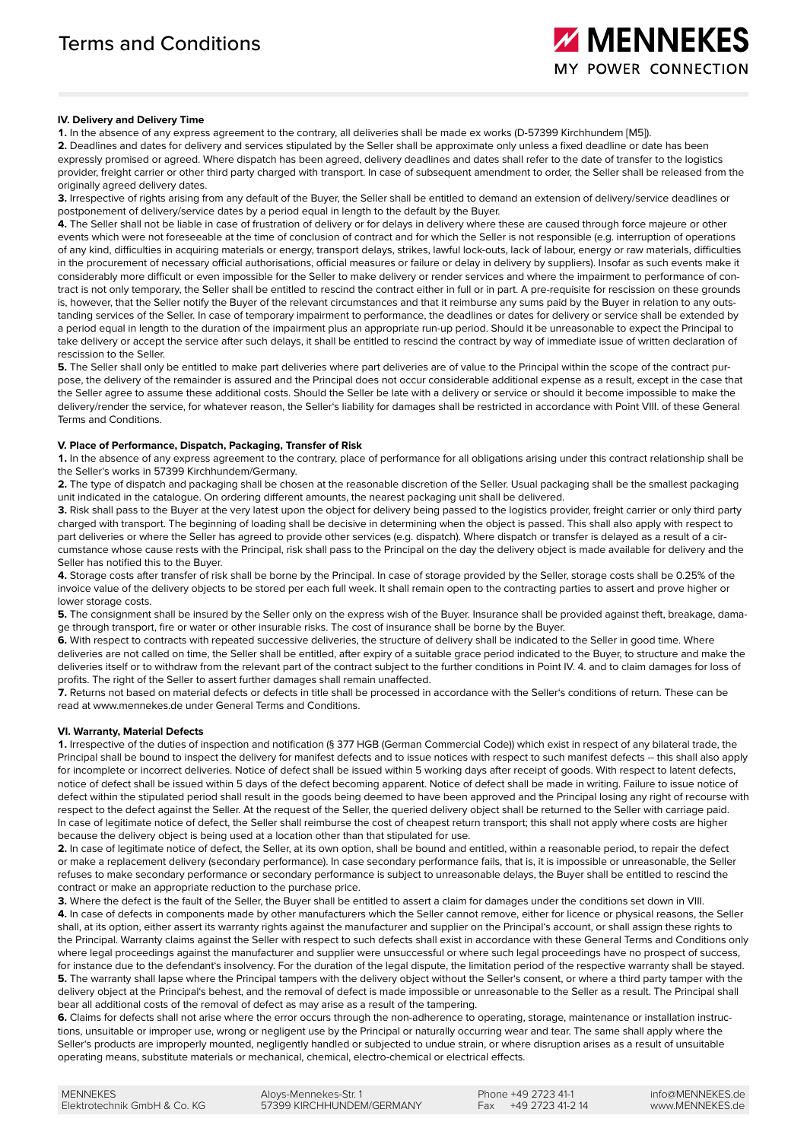# **IV. Delivery and Delivery Time**

**1.** In the absence of any express agreement to the contrary, all deliveries shall be made ex works (D-57399 Kirchhundem [M5]).

**2.** Deadlines and dates for delivery and services stipulated by the Seller shall be approximate only unless a fixed deadline or date has been expressly promised or agreed. Where dispatch has been agreed, delivery deadlines and dates shall refer to the date of transfer to the logistics provider, freight carrier or other third party charged with transport. In case of subsequent amendment to order, the Seller shall be released from the originally agreed delivery dates.

**3.** Irrespective of rights arising from any default of the Buyer, the Seller shall be entitled to demand an extension of delivery/service deadlines or postponement of delivery/service dates by a period equal in length to the default by the Buyer.

**4.** The Seller shall not be liable in case of frustration of delivery or for delays in delivery where these are caused through force majeure or other events which were not foreseeable at the time of conclusion of contract and for which the Seller is not responsible (e.g. interruption of operations of any kind, difficulties in acquiring materials or energy, transport delays, strikes, lawful lock-outs, lack of labour, energy or raw materials, difficulties in the procurement of necessary official authorisations, official measures or failure or delay in delivery by suppliers). Insofar as such events make it considerably more difficult or even impossible for the Seller to make delivery or render services and where the impairment to performance of contract is not only temporary, the Seller shall be entitled to rescind the contract either in full or in part. A pre-requisite for rescission on these grounds is, however, that the Seller notify the Buyer of the relevant circumstances and that it reimburse any sums paid by the Buyer in relation to any outstanding services of the Seller. In case of temporary impairment to performance, the deadlines or dates for delivery or service shall be extended by a period equal in length to the duration of the impairment plus an appropriate run-up period. Should it be unreasonable to expect the Principal to take delivery or accept the service after such delays, it shall be entitled to rescind the contract by way of immediate issue of written declaration of rescission to the Seller.

**5.** The Seller shall only be entitled to make part deliveries where part deliveries are of value to the Principal within the scope of the contract purpose, the delivery of the remainder is assured and the Principal does not occur considerable additional expense as a result, except in the case that the Seller agree to assume these additional costs. Should the Seller be late with a delivery or service or should it become impossible to make the delivery/render the service, for whatever reason, the Seller's liability for damages shall be restricted in accordance with Point VIII. of these General Terms and Conditions.

# **V. Place of Performance, Dispatch, Packaging, Transfer of Risk**

**1.** In the absence of any express agreement to the contrary, place of performance for all obligations arising under this contract relationship shall be the Seller's works in 57399 Kirchhundem/Germany.

**2.** The type of dispatch and packaging shall be chosen at the reasonable discretion of the Seller. Usual packaging shall be the smallest packaging unit indicated in the catalogue. On ordering different amounts, the nearest packaging unit shall be delivered.

**3.** Risk shall pass to the Buyer at the very latest upon the object for delivery being passed to the logistics provider, freight carrier or only third party charged with transport. The beginning of loading shall be decisive in determining when the object is passed. This shall also apply with respect to part deliveries or where the Seller has agreed to provide other services (e.g. dispatch). Where dispatch or transfer is delayed as a result of a circumstance whose cause rests with the Principal, risk shall pass to the Principal on the day the delivery object is made available for delivery and the Seller has notified this to the Buyer.

**4.** Storage costs after transfer of risk shall be borne by the Principal. In case of storage provided by the Seller, storage costs shall be 0.25% of the invoice value of the delivery objects to be stored per each full week. It shall remain open to the contracting parties to assert and prove higher or lower storage costs.

5. The consignment shall be insured by the Seller only on the express wish of the Buyer. Insurance shall be provided against theft, breakage, damage through transport, fire or water or other insurable risks. The cost of insurance shall be borne by the Buyer.

**6.** With respect to contracts with repeated successive deliveries, the structure of delivery shall be indicated to the Seller in good time. Where deliveries are not called on time, the Seller shall be entitled, after expiry of a suitable grace period indicated to the Buyer, to structure and make the deliveries itself or to withdraw from the relevant part of the contract subject to the further conditions in Point IV. 4. and to claim damages for loss of profits. The right of the Seller to assert further damages shall remain unaffected.

**7.** Returns not based on material defects or defects in title shall be processed in accordance with the Seller's conditions of return. These can be read at www.mennekes.de under General Terms and Conditions.

## **VI. Warranty, Material Defects**

**1.** Irrespective of the duties of inspection and notification (§ 377 HGB (German Commercial Code)) which exist in respect of any bilateral trade, the Principal shall be bound to inspect the delivery for manifest defects and to issue notices with respect to such manifest defects -- this shall also apply for incomplete or incorrect deliveries. Notice of defect shall be issued within 5 working days after receipt of goods. With respect to latent defects, notice of defect shall be issued within 5 days of the defect becoming apparent. Notice of defect shall be made in writing. Failure to issue notice of defect within the stipulated period shall result in the goods being deemed to have been approved and the Principal losing any right of recourse with respect to the defect against the Seller. At the request of the Seller, the queried delivery object shall be returned to the Seller with carriage paid. In case of legitimate notice of defect, the Seller shall reimburse the cost of cheapest return transport; this shall not apply where costs are higher because the delivery object is being used at a location other than that stipulated for use.

**2.** In case of legitimate notice of defect, the Seller, at its own option, shall be bound and entitled, within a reasonable period, to repair the defect or make a replacement delivery (secondary performance). In case secondary performance fails, that is, it is impossible or unreasonable, the Seller refuses to make secondary performance or secondary performance is subject to unreasonable delays, the Buyer shall be entitled to rescind the contract or make an appropriate reduction to the purchase price.

**3.** Where the defect is the fault of the Seller, the Buyer shall be entitled to assert a claim for damages under the conditions set down in VIII. **4.** In case of defects in components made by other manufacturers which the Seller cannot remove, either for licence or physical reasons, the Seller shall, at its option, either assert its warranty rights against the manufacturer and supplier on the Principal's account, or shall assign these rights to the Principal. Warranty claims against the Seller with respect to such defects shall exist in accordance with these General Terms and Conditions only where legal proceedings against the manufacturer and supplier were unsuccessful or where such legal proceedings have no prospect of success, for instance due to the defendant's insolvency. For the duration of the legal dispute, the limitation period of the respective warranty shall be stayed. **5.** The warranty shall lapse where the Principal tampers with the delivery object without the Seller's consent, or where a third party tamper with the delivery object at the Principal's behest, and the removal of defect is made impossible or unreasonable to the Seller as a result. The Principal shall bear all additional costs of the removal of defect as may arise as a result of the tampering.

**6.** Claims for defects shall not arise where the error occurs through the non-adherence to operating, storage, maintenance or installation instructions, unsuitable or improper use, wrong or negligent use by the Principal or naturally occurring wear and tear. The same shall apply where the Seller's products are improperly mounted, negligently handled or subjected to undue strain, or where disruption arises as a result of unsuitable operating means, substitute materials or mechanical, chemical, electro-chemical or electrical effects.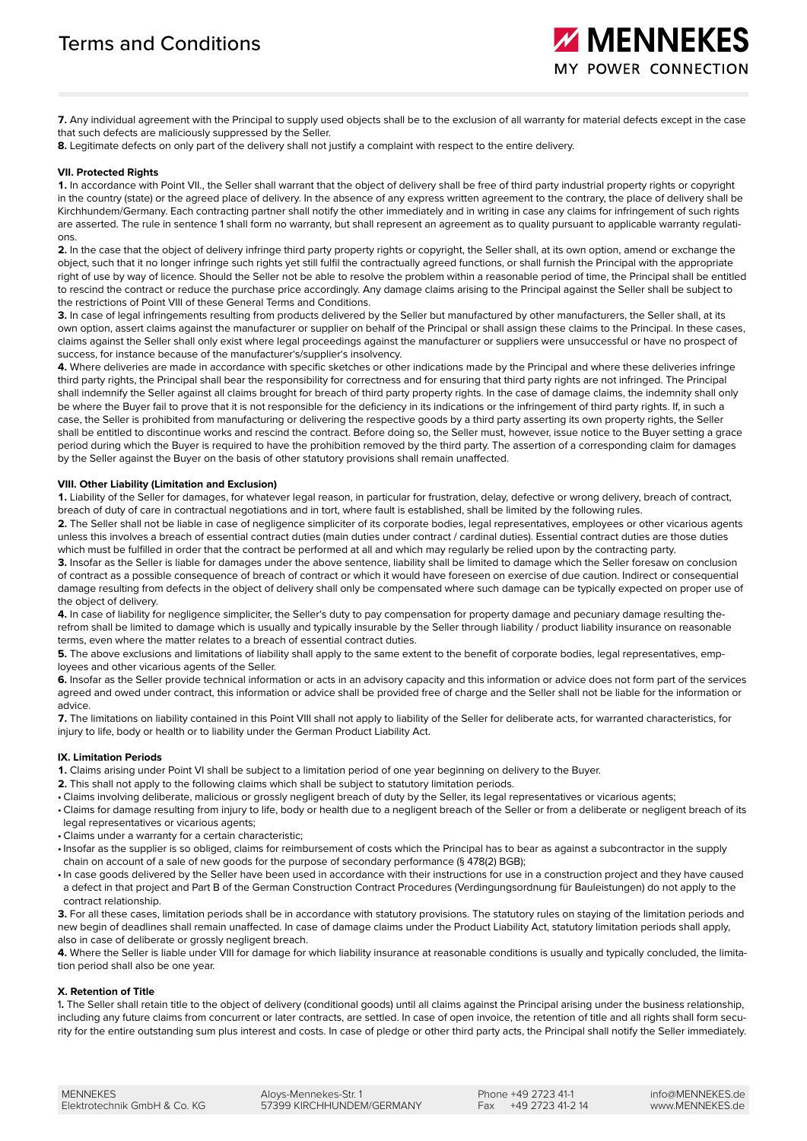**7.** Any individual agreement with the Principal to supply used objects shall be to the exclusion of all warranty for material defects except in the case that such defects are maliciously suppressed by the Seller.

#### **8.** Legitimate defects on only part of the delivery shall not justify a complaint with respect to the entire delivery.

#### **VII. Protected Rights**

**1.** In accordance with Point VII., the Seller shall warrant that the object of delivery shall be free of third party industrial property rights or copyright in the country (state) or the agreed place of delivery. In the absence of any express written agreement to the contrary, the place of delivery shall be Kirchhundem/Germany. Each contracting partner shall notify the other immediately and in writing in case any claims for infringement of such rights are asserted. The rule in sentence 1 shall form no warranty, but shall represent an agreement as to quality pursuant to applicable warranty regulations.

**2.** In the case that the object of delivery infringe third party property rights or copyright, the Seller shall, at its own option, amend or exchange the object, such that it no longer infringe such rights yet still fulfil the contractually agreed functions, or shall furnish the Principal with the appropriate right of use by way of licence. Should the Seller not be able to resolve the problem within a reasonable period of time, the Principal shall be entitled to rescind the contract or reduce the purchase price accordingly. Any damage claims arising to the Principal against the Seller shall be subject to the restrictions of Point VIII of these General Terms and Conditions.

**3.** In case of legal infringements resulting from products delivered by the Seller but manufactured by other manufacturers, the Seller shall, at its own option, assert claims against the manufacturer or supplier on behalf of the Principal or shall assign these claims to the Principal. In these cases, claims against the Seller shall only exist where legal proceedings against the manufacturer or suppliers were unsuccessful or have no prospect of success, for instance because of the manufacturer's/supplier's insolvency.

**4.** Where deliveries are made in accordance with specific sketches or other indications made by the Principal and where these deliveries infringe third party rights, the Principal shall bear the responsibility for correctness and for ensuring that third party rights are not infringed. The Principal shall indemnify the Seller against all claims brought for breach of third party property rights. In the case of damage claims, the indemnity shall only be where the Buyer fail to prove that it is not responsible for the deficiency in its indications or the infringement of third party rights. If, in such a case, the Seller is prohibited from manufacturing or delivering the respective goods by a third party asserting its own property rights, the Seller shall be entitled to discontinue works and rescind the contract. Before doing so, the Seller must, however, issue notice to the Buyer setting a grace period during which the Buyer is required to have the prohibition removed by the third party. The assertion of a corresponding claim for damages by the Seller against the Buyer on the basis of other statutory provisions shall remain unaffected.

## **VIII. Other Liability (Limitation and Exclusion)**

**1.** Liability of the Seller for damages, for whatever legal reason, in particular for frustration, delay, defective or wrong delivery, breach of contract, breach of duty of care in contractual negotiations and in tort, where fault is established, shall be limited by the following rules.

**2.** The Seller shall not be liable in case of negligence simpliciter of its corporate bodies, legal representatives, employees or other vicarious agents unless this involves a breach of essential contract duties (main duties under contract / cardinal duties). Essential contract duties are those duties which must be fulfilled in order that the contract be performed at all and which may regularly be relied upon by the contracting party.

**3.** Insofar as the Seller is liable for damages under the above sentence, liability shall be limited to damage which the Seller foresaw on conclusion of contract as a possible consequence of breach of contract or which it would have foreseen on exercise of due caution. Indirect or consequential damage resulting from defects in the object of delivery shall only be compensated where such damage can be typically expected on proper use of the object of delivery.

**4.** In case of liability for negligence simpliciter, the Seller's duty to pay compensation for property damage and pecuniary damage resulting therefrom shall be limited to damage which is usually and typically insurable by the Seller through liability / product liability insurance on reasonable terms, even where the matter relates to a breach of essential contract duties.

**5.** The above exclusions and limitations of liability shall apply to the same extent to the benefit of corporate bodies, legal representatives, employees and other vicarious agents of the Seller.

**6.** Insofar as the Seller provide technical information or acts in an advisory capacity and this information or advice does not form part of the services agreed and owed under contract, this information or advice shall be provided free of charge and the Seller shall not be liable for the information or advice.

**7.** The limitations on liability contained in this Point VIII shall not apply to liability of the Seller for deliberate acts, for warranted characteristics, for injury to life, body or health or to liability under the German Product Liability Act.

# **IX. Limitation Periods**

**1.** Claims arising under Point VI shall be subject to a limitation period of one year beginning on delivery to the Buyer.

- **2.** This shall not apply to the following claims which shall be subject to statutory limitation periods.
- Claims involving deliberate, malicious or grossly negligent breach of duty by the Seller, its legal representatives or vicarious agents;
- Claims for damage resulting from injury to life, body or health due to a negligent breach of the Seller or from a deliberate or negligent breach of its legal representatives or vicarious agents;
- Claims under a warranty for a certain characteristic;
- •Insofar as the supplier is so obliged, claims for reimbursement of costs which the Principal has to bear as against a subcontractor in the supply chain on account of a sale of new goods for the purpose of secondary performance (§ 478(2) BGB);
- •In case goods delivered by the Seller have been used in accordance with their instructions for use in a construction project and they have caused a defect in that project and Part B of the German Construction Contract Procedures (Verdingungsordnung für Bauleistungen) do not apply to the contract relationship.

**3.** For all these cases, limitation periods shall be in accordance with statutory provisions. The statutory rules on staying of the limitation periods and new begin of deadlines shall remain unaffected. In case of damage claims under the Product Liability Act, statutory limitation periods shall apply, also in case of deliberate or grossly negligent breach.

**4.** Where the Seller is liable under VIII for damage for which liability insurance at reasonable conditions is usually and typically concluded, the limitation period shall also be one year.

## **X. Retention of Title**

1**.** The Seller shall retain title to the object of delivery (conditional goods) until all claims against the Principal arising under the business relationship, including any future claims from concurrent or later contracts, are settled. In case of open invoice, the retention of title and all rights shall form security for the entire outstanding sum plus interest and costs. In case of pledge or other third party acts, the Principal shall notify the Seller immediately.